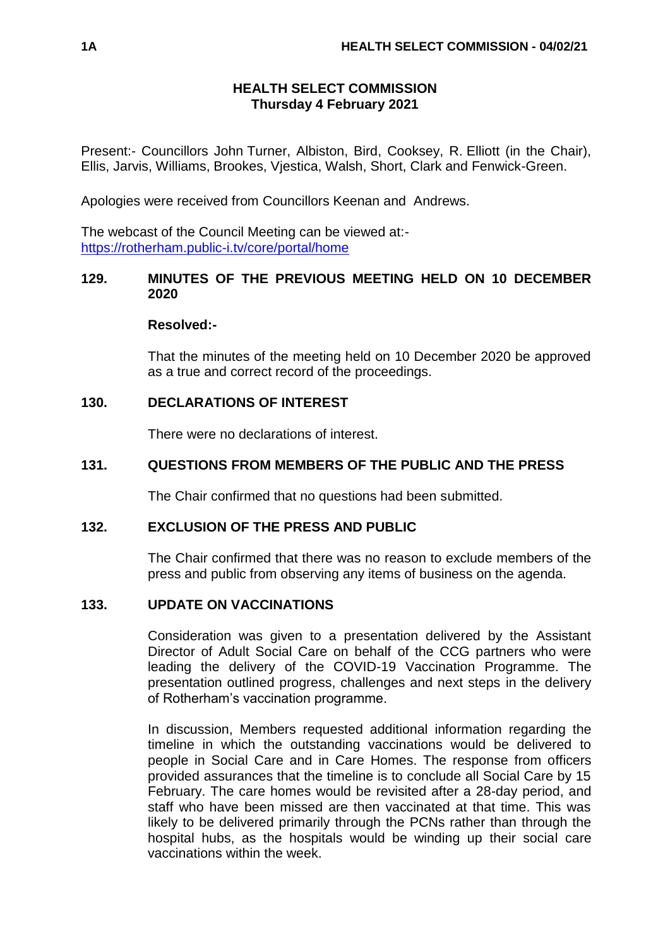# **HEALTH SELECT COMMISSION Thursday 4 February 2021**

Present:- Councillors John Turner, Albiston, Bird, Cooksey, R. Elliott (in the Chair), Ellis, Jarvis, Williams, Brookes, Vjestica, Walsh, Short, Clark and Fenwick-Green.

Apologies were received from Councillors Keenan and Andrews.

The webcast of the Council Meeting can be viewed at: <https://rotherham.public-i.tv/core/portal/home>

# **129. MINUTES OF THE PREVIOUS MEETING HELD ON 10 DECEMBER 2020**

## **Resolved:-**

That the minutes of the meeting held on 10 December 2020 be approved as a true and correct record of the proceedings.

# **130. DECLARATIONS OF INTEREST**

There were no declarations of interest.

# **131. QUESTIONS FROM MEMBERS OF THE PUBLIC AND THE PRESS**

The Chair confirmed that no questions had been submitted.

# **132. EXCLUSION OF THE PRESS AND PUBLIC**

The Chair confirmed that there was no reason to exclude members of the press and public from observing any items of business on the agenda.

# **133. UPDATE ON VACCINATIONS**

Consideration was given to a presentation delivered by the Assistant Director of Adult Social Care on behalf of the CCG partners who were leading the delivery of the COVID-19 Vaccination Programme. The presentation outlined progress, challenges and next steps in the delivery of Rotherham's vaccination programme.

In discussion, Members requested additional information regarding the timeline in which the outstanding vaccinations would be delivered to people in Social Care and in Care Homes. The response from officers provided assurances that the timeline is to conclude all Social Care by 15 February. The care homes would be revisited after a 28-day period, and staff who have been missed are then vaccinated at that time. This was likely to be delivered primarily through the PCNs rather than through the hospital hubs, as the hospitals would be winding up their social care vaccinations within the week.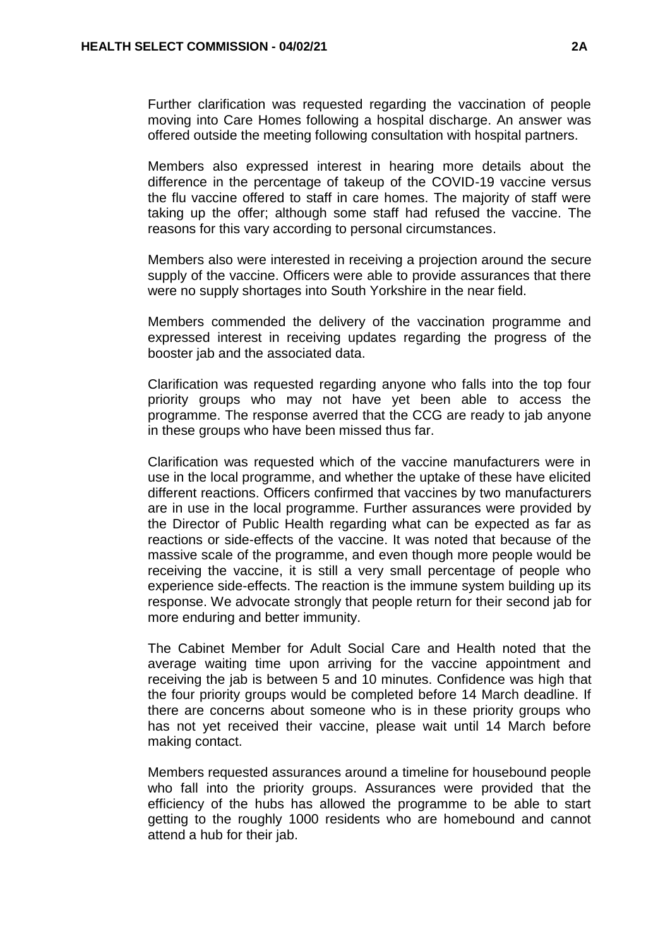Further clarification was requested regarding the vaccination of people moving into Care Homes following a hospital discharge. An answer was offered outside the meeting following consultation with hospital partners.

Members also expressed interest in hearing more details about the difference in the percentage of takeup of the COVID-19 vaccine versus the flu vaccine offered to staff in care homes. The majority of staff were taking up the offer; although some staff had refused the vaccine. The reasons for this vary according to personal circumstances.

Members also were interested in receiving a projection around the secure supply of the vaccine. Officers were able to provide assurances that there were no supply shortages into South Yorkshire in the near field.

Members commended the delivery of the vaccination programme and expressed interest in receiving updates regarding the progress of the booster jab and the associated data.

Clarification was requested regarding anyone who falls into the top four priority groups who may not have yet been able to access the programme. The response averred that the CCG are ready to jab anyone in these groups who have been missed thus far.

Clarification was requested which of the vaccine manufacturers were in use in the local programme, and whether the uptake of these have elicited different reactions. Officers confirmed that vaccines by two manufacturers are in use in the local programme. Further assurances were provided by the Director of Public Health regarding what can be expected as far as reactions or side-effects of the vaccine. It was noted that because of the massive scale of the programme, and even though more people would be receiving the vaccine, it is still a very small percentage of people who experience side-effects. The reaction is the immune system building up its response. We advocate strongly that people return for their second jab for more enduring and better immunity.

The Cabinet Member for Adult Social Care and Health noted that the average waiting time upon arriving for the vaccine appointment and receiving the jab is between 5 and 10 minutes. Confidence was high that the four priority groups would be completed before 14 March deadline. If there are concerns about someone who is in these priority groups who has not yet received their vaccine, please wait until 14 March before making contact.

Members requested assurances around a timeline for housebound people who fall into the priority groups. Assurances were provided that the efficiency of the hubs has allowed the programme to be able to start getting to the roughly 1000 residents who are homebound and cannot attend a hub for their jab.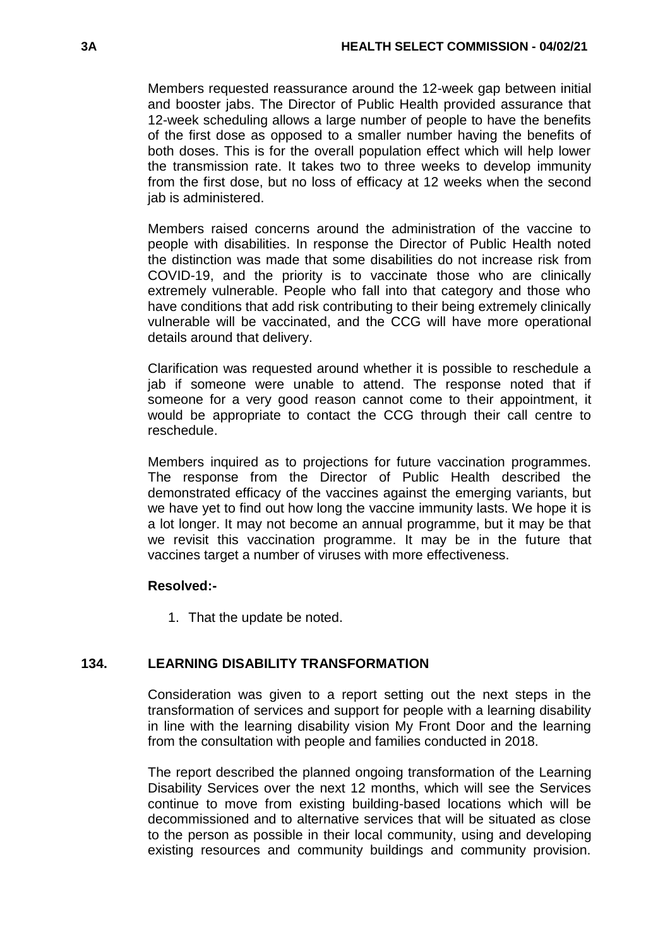Members requested reassurance around the 12-week gap between initial and booster jabs. The Director of Public Health provided assurance that 12-week scheduling allows a large number of people to have the benefits of the first dose as opposed to a smaller number having the benefits of both doses. This is for the overall population effect which will help lower the transmission rate. It takes two to three weeks to develop immunity from the first dose, but no loss of efficacy at 12 weeks when the second jab is administered.

Members raised concerns around the administration of the vaccine to people with disabilities. In response the Director of Public Health noted the distinction was made that some disabilities do not increase risk from COVID-19, and the priority is to vaccinate those who are clinically extremely vulnerable. People who fall into that category and those who have conditions that add risk contributing to their being extremely clinically vulnerable will be vaccinated, and the CCG will have more operational details around that delivery.

Clarification was requested around whether it is possible to reschedule a jab if someone were unable to attend. The response noted that if someone for a very good reason cannot come to their appointment, it would be appropriate to contact the CCG through their call centre to reschedule.

Members inquired as to projections for future vaccination programmes. The response from the Director of Public Health described the demonstrated efficacy of the vaccines against the emerging variants, but we have yet to find out how long the vaccine immunity lasts. We hope it is a lot longer. It may not become an annual programme, but it may be that we revisit this vaccination programme. It may be in the future that vaccines target a number of viruses with more effectiveness.

# **Resolved:-**

1. That the update be noted.

# **134. LEARNING DISABILITY TRANSFORMATION**

Consideration was given to a report setting out the next steps in the transformation of services and support for people with a learning disability in line with the learning disability vision My Front Door and the learning from the consultation with people and families conducted in 2018.

The report described the planned ongoing transformation of the Learning Disability Services over the next 12 months, which will see the Services continue to move from existing building-based locations which will be decommissioned and to alternative services that will be situated as close to the person as possible in their local community, using and developing existing resources and community buildings and community provision.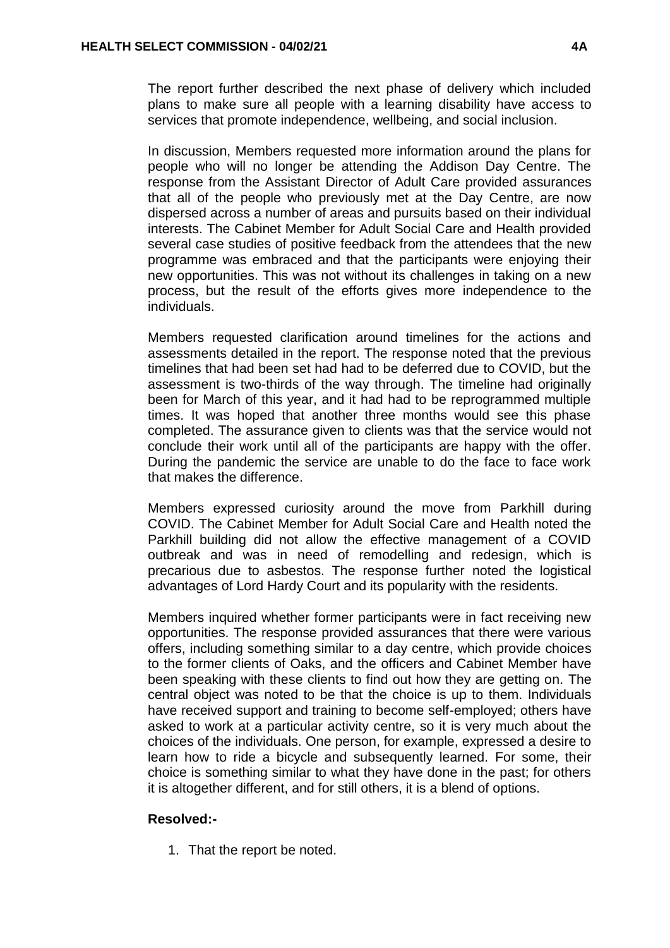The report further described the next phase of delivery which included plans to make sure all people with a learning disability have access to services that promote independence, wellbeing, and social inclusion.

In discussion, Members requested more information around the plans for people who will no longer be attending the Addison Day Centre. The response from the Assistant Director of Adult Care provided assurances that all of the people who previously met at the Day Centre, are now dispersed across a number of areas and pursuits based on their individual interests. The Cabinet Member for Adult Social Care and Health provided several case studies of positive feedback from the attendees that the new programme was embraced and that the participants were enjoying their new opportunities. This was not without its challenges in taking on a new process, but the result of the efforts gives more independence to the individuals.

Members requested clarification around timelines for the actions and assessments detailed in the report. The response noted that the previous timelines that had been set had had to be deferred due to COVID, but the assessment is two-thirds of the way through. The timeline had originally been for March of this year, and it had had to be reprogrammed multiple times. It was hoped that another three months would see this phase completed. The assurance given to clients was that the service would not conclude their work until all of the participants are happy with the offer. During the pandemic the service are unable to do the face to face work that makes the difference.

Members expressed curiosity around the move from Parkhill during COVID. The Cabinet Member for Adult Social Care and Health noted the Parkhill building did not allow the effective management of a COVID outbreak and was in need of remodelling and redesign, which is precarious due to asbestos. The response further noted the logistical advantages of Lord Hardy Court and its popularity with the residents.

Members inquired whether former participants were in fact receiving new opportunities. The response provided assurances that there were various offers, including something similar to a day centre, which provide choices to the former clients of Oaks, and the officers and Cabinet Member have been speaking with these clients to find out how they are getting on. The central object was noted to be that the choice is up to them. Individuals have received support and training to become self-employed; others have asked to work at a particular activity centre, so it is very much about the choices of the individuals. One person, for example, expressed a desire to learn how to ride a bicycle and subsequently learned. For some, their choice is something similar to what they have done in the past; for others it is altogether different, and for still others, it is a blend of options.

# **Resolved:-**

1. That the report be noted.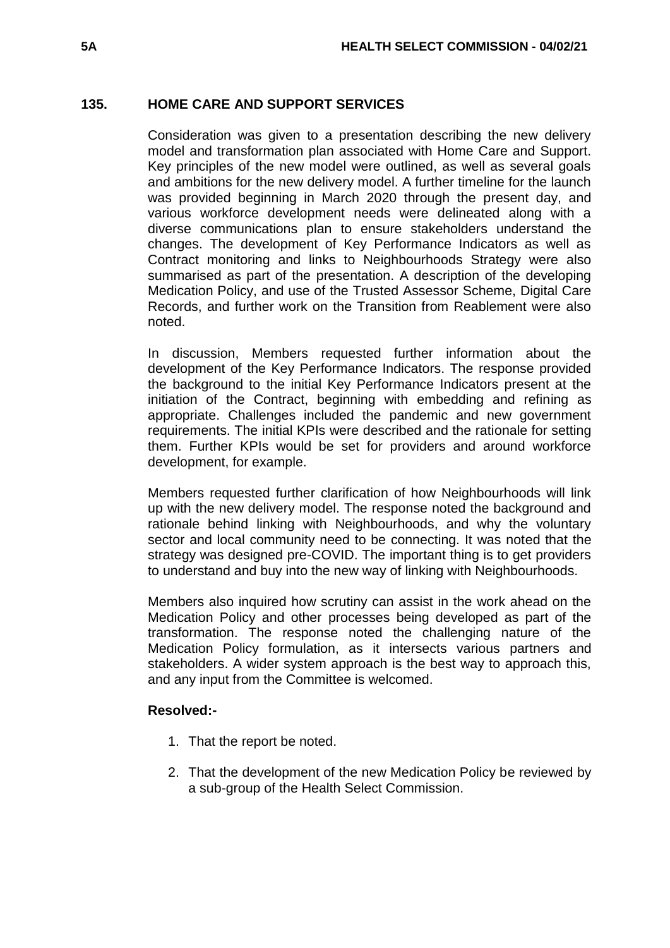## **135. HOME CARE AND SUPPORT SERVICES**

Consideration was given to a presentation describing the new delivery model and transformation plan associated with Home Care and Support. Key principles of the new model were outlined, as well as several goals and ambitions for the new delivery model. A further timeline for the launch was provided beginning in March 2020 through the present day, and various workforce development needs were delineated along with a diverse communications plan to ensure stakeholders understand the changes. The development of Key Performance Indicators as well as Contract monitoring and links to Neighbourhoods Strategy were also summarised as part of the presentation. A description of the developing Medication Policy, and use of the Trusted Assessor Scheme, Digital Care Records, and further work on the Transition from Reablement were also noted.

In discussion, Members requested further information about the development of the Key Performance Indicators. The response provided the background to the initial Key Performance Indicators present at the initiation of the Contract, beginning with embedding and refining as appropriate. Challenges included the pandemic and new government requirements. The initial KPIs were described and the rationale for setting them. Further KPIs would be set for providers and around workforce development, for example.

Members requested further clarification of how Neighbourhoods will link up with the new delivery model. The response noted the background and rationale behind linking with Neighbourhoods, and why the voluntary sector and local community need to be connecting. It was noted that the strategy was designed pre-COVID. The important thing is to get providers to understand and buy into the new way of linking with Neighbourhoods.

Members also inquired how scrutiny can assist in the work ahead on the Medication Policy and other processes being developed as part of the transformation. The response noted the challenging nature of the Medication Policy formulation, as it intersects various partners and stakeholders. A wider system approach is the best way to approach this, and any input from the Committee is welcomed.

## **Resolved:-**

- 1. That the report be noted.
- 2. That the development of the new Medication Policy be reviewed by a sub-group of the Health Select Commission.